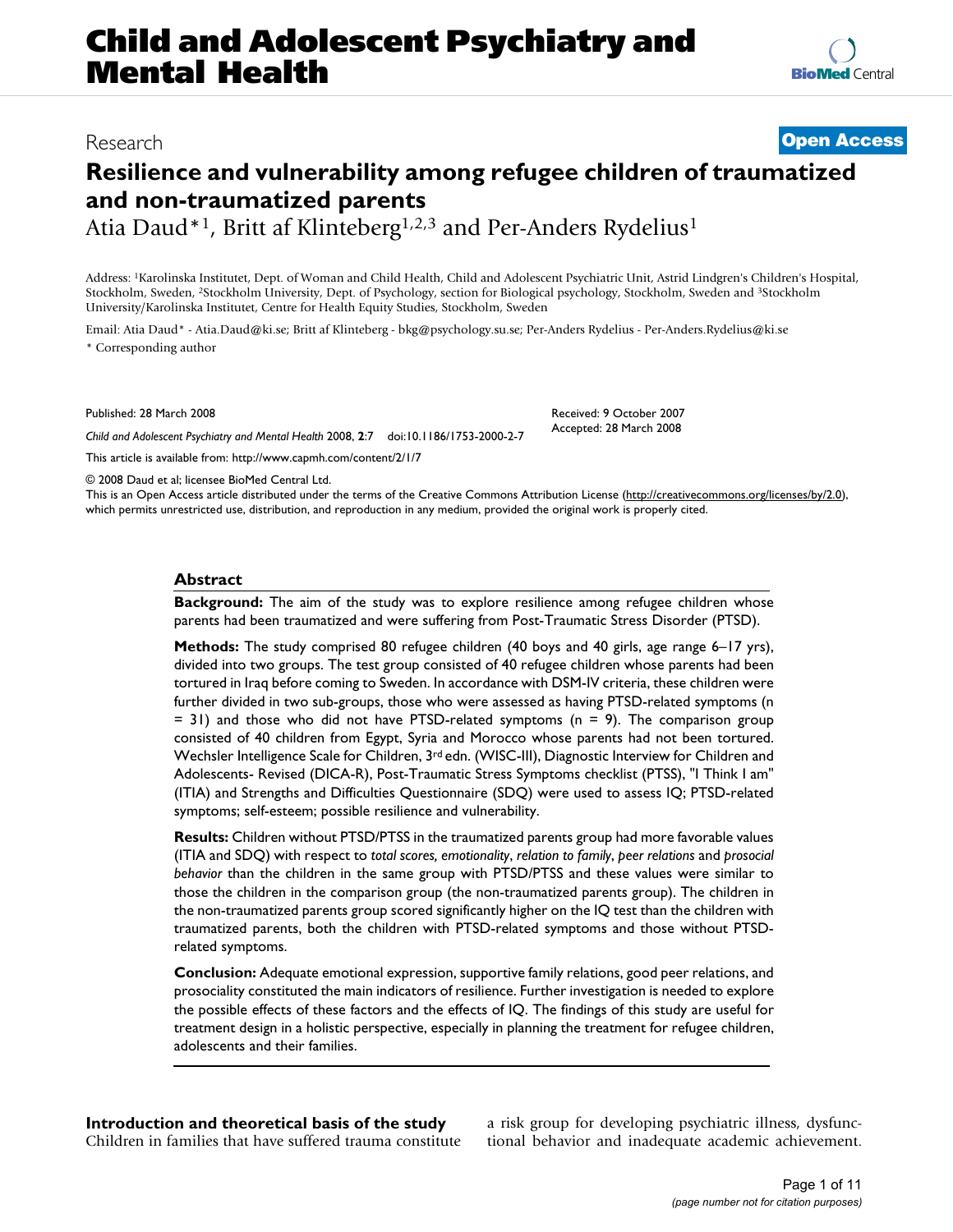# **Child and Adolescent Psychiatry and Mental Health**

# **Resilience and vulnerability among refugee children of traumatized and non-traumatized parents**

Atia Daud\*<sup>1</sup>, Britt af Klinteberg<sup>1,2,3</sup> and Per-Anders Rydelius<sup>1</sup>

Address: 1Karolinska Institutet, Dept. of Woman and Child Health, Child and Adolescent Psychiatric Unit, Astrid Lindgren's Children's Hospital, Stockholm, Sweden, 2Stockholm University, Dept. of Psychology, section for Biological psychology, Stockholm, Sweden and 3Stockholm University/Karolinska Institutet, Centre for Health Equity Studies, Stockholm, Sweden

Email: Atia Daud\* - Atia.Daud@ki.se; Britt af Klinteberg - bkg@psychology.su.se; Per-Anders Rydelius - Per-Anders.Rydelius@ki.se \* Corresponding author

Published: 28 March 2008

*Child and Adolescent Psychiatry and Mental Health* 2008, **2**:7 doi:10.1186/1753-2000-2-7

[This article is available from: http://www.capmh.com/content/2/1/7](http://www.capmh.com/content/2/1/7)

© 2008 Daud et al; licensee BioMed Central Ltd.

This is an Open Access article distributed under the terms of the Creative Commons Attribution License [\(http://creativecommons.org/licenses/by/2.0\)](http://creativecommons.org/licenses/by/2.0), which permits unrestricted use, distribution, and reproduction in any medium, provided the original work is properly cited.

#### **Abstract**

**Background:** The aim of the study was to explore resilience among refugee children whose parents had been traumatized and were suffering from Post-Traumatic Stress Disorder (PTSD).

**Methods:** The study comprised 80 refugee children (40 boys and 40 girls, age range 6–17 yrs), divided into two groups. The test group consisted of 40 refugee children whose parents had been tortured in Iraq before coming to Sweden. In accordance with DSM-IV criteria, these children were further divided in two sub-groups, those who were assessed as having PTSD-related symptoms (n  $= 31$ ) and those who did not have PTSD-related symptoms (n  $= 9$ ). The comparison group consisted of 40 children from Egypt, Syria and Morocco whose parents had not been tortured. Wechsler Intelligence Scale for Children, 3<sup>rd</sup> edn. (WISC-III), Diagnostic Interview for Children and Adolescents- Revised (DICA-R), Post-Traumatic Stress Symptoms checklist (PTSS), "I Think I am" (ITIA) and Strengths and Difficulties Questionnaire (SDQ) were used to assess IQ; PTSD-related symptoms; self-esteem; possible resilience and vulnerability.

**Results:** Children without PTSD/PTSS in the traumatized parents group had more favorable values (ITIA and SDQ) with respect to *total scores, emotionality*, *relation to family*, *peer relations* and *prosocial behavior* than the children in the same group with PTSD/PTSS and these values were similar to those the children in the comparison group (the non-traumatized parents group). The children in the non-traumatized parents group scored significantly higher on the IQ test than the children with traumatized parents, both the children with PTSD-related symptoms and those without PTSDrelated symptoms.

**Conclusion:** Adequate emotional expression, supportive family relations, good peer relations, and prosociality constituted the main indicators of resilience. Further investigation is needed to explore the possible effects of these factors and the effects of IQ. The findings of this study are useful for treatment design in a holistic perspective, especially in planning the treatment for refugee children, adolescents and their families.

**Introduction and theoretical basis of the study** Children in families that have suffered trauma constitute a risk group for developing psychiatric illness, dysfunctional behavior and inadequate academic achievement.



Received: 9 October 2007 Accepted: 28 March 2008

Research **[Open Access](http://www.biomedcentral.com/info/about/charter/)**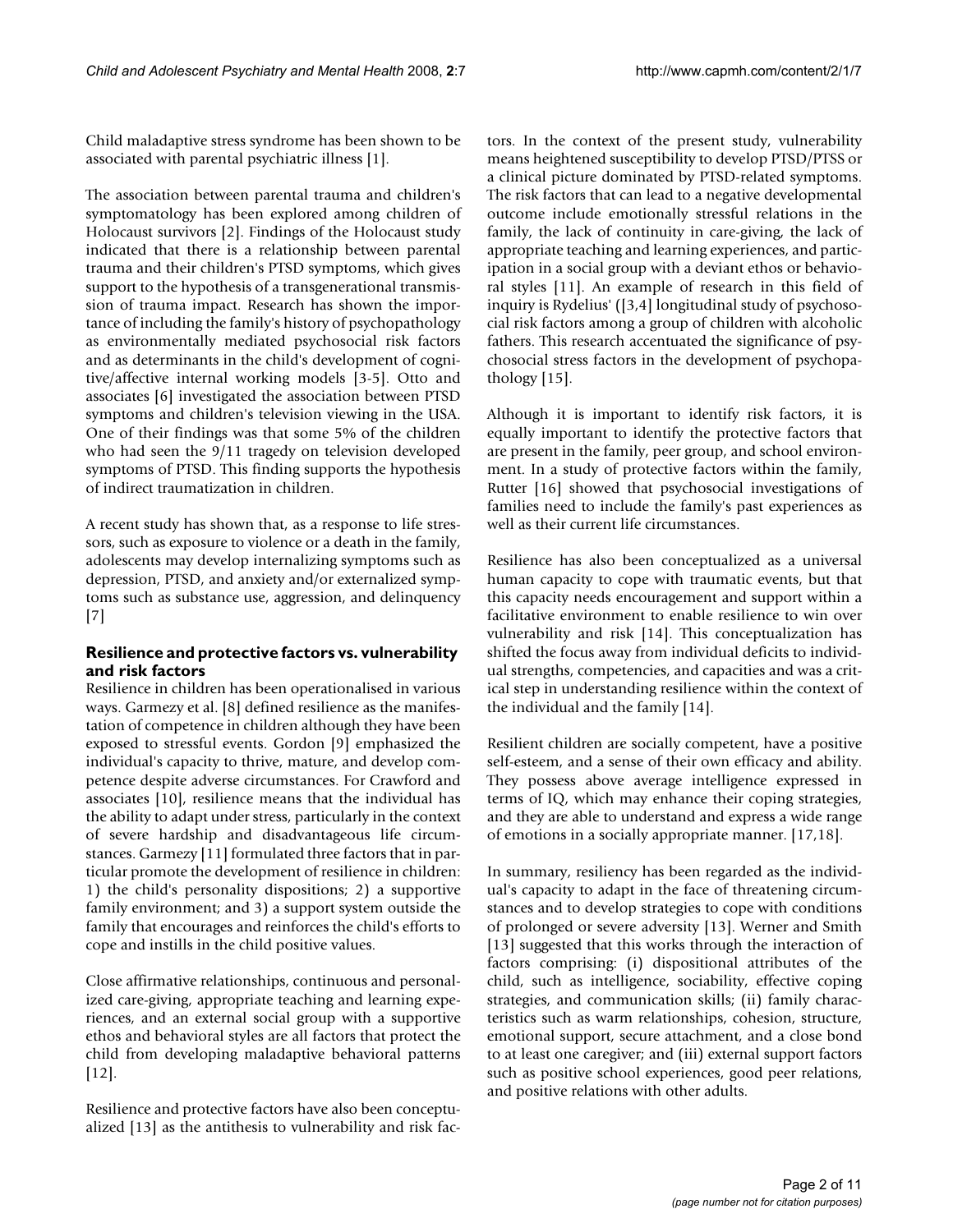Child maladaptive stress syndrome has been shown to be associated with parental psychiatric illness [1].

The association between parental trauma and children's symptomatology has been explored among children of Holocaust survivors [2]. Findings of the Holocaust study indicated that there is a relationship between parental trauma and their children's PTSD symptoms, which gives support to the hypothesis of a transgenerational transmission of trauma impact. Research has shown the importance of including the family's history of psychopathology as environmentally mediated psychosocial risk factors and as determinants in the child's development of cognitive/affective internal working models [3-5]. Otto and associates [6] investigated the association between PTSD symptoms and children's television viewing in the USA. One of their findings was that some 5% of the children who had seen the 9/11 tragedy on television developed symptoms of PTSD. This finding supports the hypothesis of indirect traumatization in children.

A recent study has shown that, as a response to life stressors, such as exposure to violence or a death in the family, adolescents may develop internalizing symptoms such as depression, PTSD, and anxiety and/or externalized symptoms such as substance use, aggression, and delinquency [7]

# **Resilience and protective factors vs. vulnerability and risk factors**

Resilience in children has been operationalised in various ways. Garmezy et al. [8] defined resilience as the manifestation of competence in children although they have been exposed to stressful events. Gordon [9] emphasized the individual's capacity to thrive, mature, and develop competence despite adverse circumstances. For Crawford and associates [10], resilience means that the individual has the ability to adapt under stress, particularly in the context of severe hardship and disadvantageous life circumstances. Garmezy [11] formulated three factors that in particular promote the development of resilience in children: 1) the child's personality dispositions; 2) a supportive family environment; and 3) a support system outside the family that encourages and reinforces the child's efforts to cope and instills in the child positive values.

Close affirmative relationships, continuous and personalized care-giving, appropriate teaching and learning experiences, and an external social group with a supportive ethos and behavioral styles are all factors that protect the child from developing maladaptive behavioral patterns  $[12]$ .

Resilience and protective factors have also been conceptualized [13] as the antithesis to vulnerability and risk factors. In the context of the present study, vulnerability means heightened susceptibility to develop PTSD/PTSS or a clinical picture dominated by PTSD-related symptoms. The risk factors that can lead to a negative developmental outcome include emotionally stressful relations in the family, the lack of continuity in care-giving, the lack of appropriate teaching and learning experiences, and participation in a social group with a deviant ethos or behavioral styles [11]. An example of research in this field of inquiry is Rydelius' ([3,4] longitudinal study of psychosocial risk factors among a group of children with alcoholic fathers. This research accentuated the significance of psychosocial stress factors in the development of psychopathology [15].

Although it is important to identify risk factors, it is equally important to identify the protective factors that are present in the family, peer group, and school environment. In a study of protective factors within the family, Rutter [16] showed that psychosocial investigations of families need to include the family's past experiences as well as their current life circumstances.

Resilience has also been conceptualized as a universal human capacity to cope with traumatic events, but that this capacity needs encouragement and support within a facilitative environment to enable resilience to win over vulnerability and risk [14]. This conceptualization has shifted the focus away from individual deficits to individual strengths, competencies, and capacities and was a critical step in understanding resilience within the context of the individual and the family [14].

Resilient children are socially competent, have a positive self-esteem, and a sense of their own efficacy and ability. They possess above average intelligence expressed in terms of IQ, which may enhance their coping strategies, and they are able to understand and express a wide range of emotions in a socially appropriate manner. [17,18].

In summary, resiliency has been regarded as the individual's capacity to adapt in the face of threatening circumstances and to develop strategies to cope with conditions of prolonged or severe adversity [13]. Werner and Smith [13] suggested that this works through the interaction of factors comprising: (i) dispositional attributes of the child, such as intelligence, sociability, effective coping strategies, and communication skills; (ii) family characteristics such as warm relationships, cohesion, structure, emotional support, secure attachment, and a close bond to at least one caregiver; and (iii) external support factors such as positive school experiences, good peer relations, and positive relations with other adults.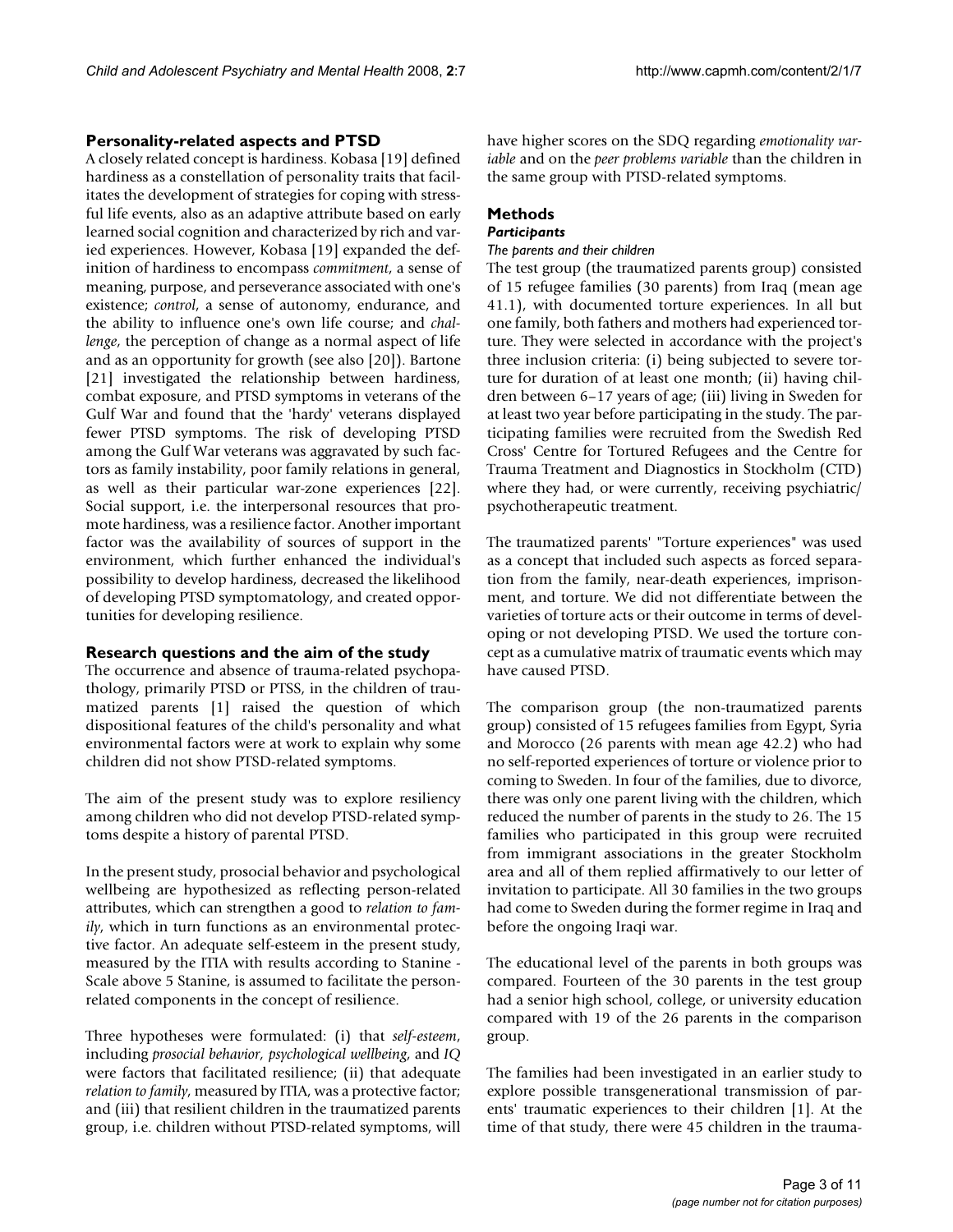# **Personality-related aspects and PTSD**

A closely related concept is hardiness. Kobasa [19] defined hardiness as a constellation of personality traits that facilitates the development of strategies for coping with stressful life events, also as an adaptive attribute based on early learned social cognition and characterized by rich and varied experiences. However, Kobasa [19] expanded the definition of hardiness to encompass *commitment*, a sense of meaning, purpose, and perseverance associated with one's existence; *control*, a sense of autonomy, endurance, and the ability to influence one's own life course; and *challenge*, the perception of change as a normal aspect of life and as an opportunity for growth (see also [20]). Bartone [21] investigated the relationship between hardiness, combat exposure, and PTSD symptoms in veterans of the Gulf War and found that the 'hardy' veterans displayed fewer PTSD symptoms. The risk of developing PTSD among the Gulf War veterans was aggravated by such factors as family instability, poor family relations in general, as well as their particular war-zone experiences [22]. Social support, i.e. the interpersonal resources that promote hardiness, was a resilience factor. Another important factor was the availability of sources of support in the environment, which further enhanced the individual's possibility to develop hardiness, decreased the likelihood of developing PTSD symptomatology, and created opportunities for developing resilience.

# **Research questions and the aim of the study**

The occurrence and absence of trauma-related psychopathology, primarily PTSD or PTSS, in the children of traumatized parents [1] raised the question of which dispositional features of the child's personality and what environmental factors were at work to explain why some children did not show PTSD-related symptoms.

The aim of the present study was to explore resiliency among children who did not develop PTSD-related symptoms despite a history of parental PTSD.

In the present study, prosocial behavior and psychological wellbeing are hypothesized as reflecting person-related attributes, which can strengthen a good to *relation to family*, which in turn functions as an environmental protective factor. An adequate self-esteem in the present study, measured by the ITIA with results according to Stanine - Scale above 5 Stanine, is assumed to facilitate the personrelated components in the concept of resilience.

Three hypotheses were formulated: (i) that *self-esteem*, including *prosocial behavior, psychological wellbeing*, and *IQ* were factors that facilitated resilience; (ii) that adequate *relation to family*, measured by ITIA, was a protective factor; and (iii) that resilient children in the traumatized parents group, i.e. children without PTSD-related symptoms, will

have higher scores on the SDQ regarding *emotionality variable* and on the *peer problems variable* than the children in the same group with PTSD-related symptoms.

# **Methods**

#### *Participants The parents and their children*

The test group (the traumatized parents group) consisted of 15 refugee families (30 parents) from Iraq (mean age 41.1), with documented torture experiences. In all but one family, both fathers and mothers had experienced torture. They were selected in accordance with the project's three inclusion criteria: (i) being subjected to severe torture for duration of at least one month; (ii) having children between 6–17 years of age; (iii) living in Sweden for at least two year before participating in the study. The participating families were recruited from the Swedish Red Cross' Centre for Tortured Refugees and the Centre for Trauma Treatment and Diagnostics in Stockholm (CTD) where they had, or were currently, receiving psychiatric/ psychotherapeutic treatment.

The traumatized parents' "Torture experiences" was used as a concept that included such aspects as forced separation from the family, near-death experiences, imprisonment, and torture. We did not differentiate between the varieties of torture acts or their outcome in terms of developing or not developing PTSD. We used the torture concept as a cumulative matrix of traumatic events which may have caused PTSD.

The comparison group (the non-traumatized parents group) consisted of 15 refugees families from Egypt, Syria and Morocco (26 parents with mean age 42.2) who had no self-reported experiences of torture or violence prior to coming to Sweden. In four of the families, due to divorce, there was only one parent living with the children, which reduced the number of parents in the study to 26. The 15 families who participated in this group were recruited from immigrant associations in the greater Stockholm area and all of them replied affirmatively to our letter of invitation to participate. All 30 families in the two groups had come to Sweden during the former regime in Iraq and before the ongoing Iraqi war.

The educational level of the parents in both groups was compared. Fourteen of the 30 parents in the test group had a senior high school, college, or university education compared with 19 of the 26 parents in the comparison group.

The families had been investigated in an earlier study to explore possible transgenerational transmission of parents' traumatic experiences to their children [1]. At the time of that study, there were 45 children in the trauma-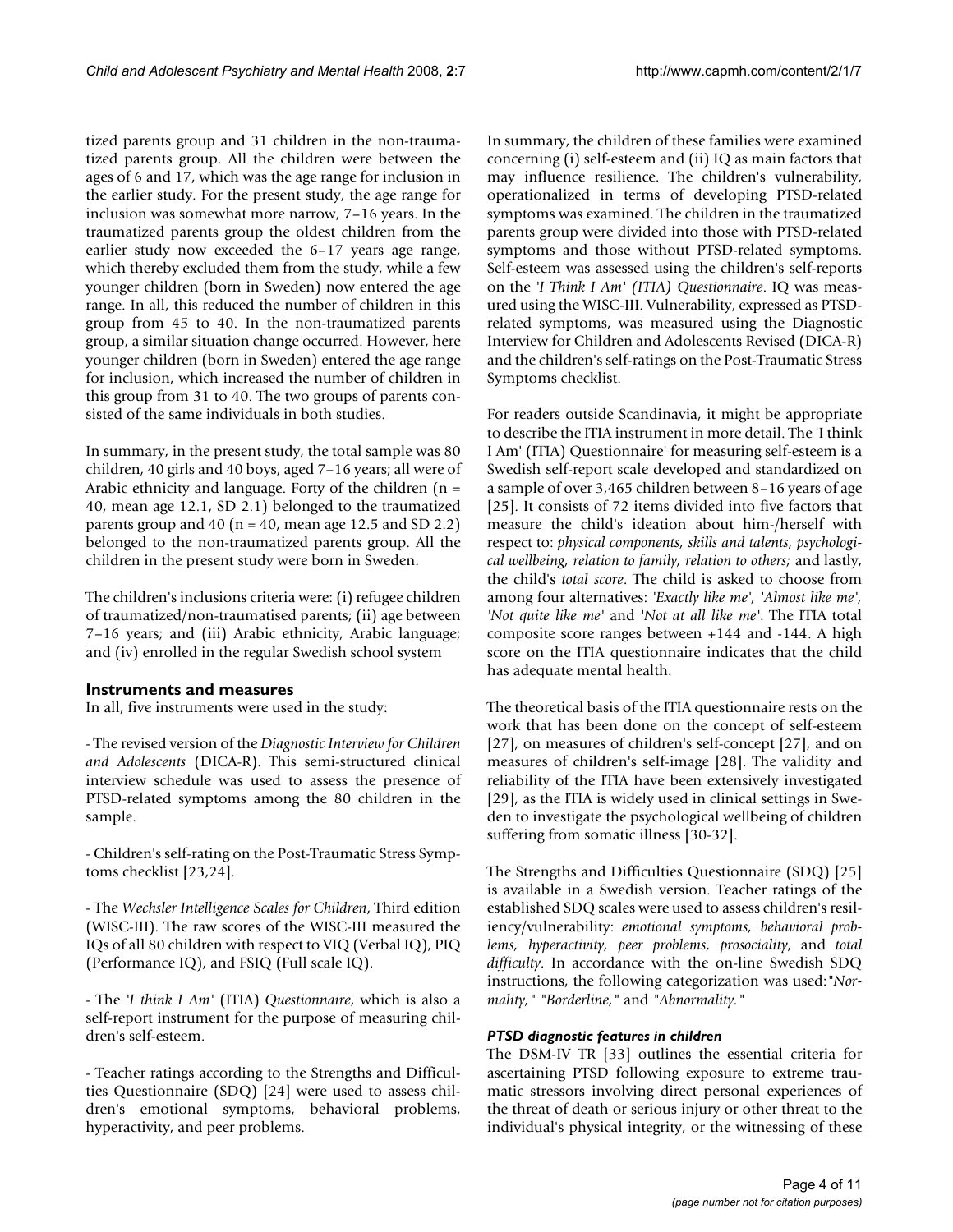tized parents group and 31 children in the non-traumatized parents group. All the children were between the ages of 6 and 17, which was the age range for inclusion in the earlier study. For the present study, the age range for inclusion was somewhat more narrow, 7–16 years. In the traumatized parents group the oldest children from the earlier study now exceeded the 6–17 years age range, which thereby excluded them from the study, while a few younger children (born in Sweden) now entered the age range. In all, this reduced the number of children in this group from 45 to 40. In the non-traumatized parents group, a similar situation change occurred. However, here younger children (born in Sweden) entered the age range for inclusion, which increased the number of children in this group from 31 to 40. The two groups of parents consisted of the same individuals in both studies.

In summary, in the present study, the total sample was 80 children, 40 girls and 40 boys, aged 7–16 years; all were of Arabic ethnicity and language. Forty of the children  $(n =$ 40, mean age 12.1, SD 2.1) belonged to the traumatized parents group and 40 ( $n = 40$ , mean age 12.5 and SD 2.2) belonged to the non-traumatized parents group. All the children in the present study were born in Sweden.

The children's inclusions criteria were: (i) refugee children of traumatized/non-traumatised parents; (ii) age between 7–16 years; and (iii) Arabic ethnicity, Arabic language; and (iv) enrolled in the regular Swedish school system

# **Instruments and measures**

In all, five instruments were used in the study:

- The revised version of the *Diagnostic Interview for Children and Adolescents* (DICA-R). This semi-structured clinical interview schedule was used to assess the presence of PTSD-related symptoms among the 80 children in the sample.

- Children's self-rating on the Post-Traumatic Stress Symptoms checklist [23,24].

- The *Wechsler Intelligence Scales for Children*, Third edition (WISC-III). The raw scores of the WISC-III measured the IQs of all 80 children with respect to VIQ (Verbal IQ), PIQ (Performance IQ), and FSIQ (Full scale IQ).

- The *'I think I Am'* (ITIA) *Questionnaire*, which is also a self-report instrument for the purpose of measuring children's self-esteem.

- Teacher ratings according to the Strengths and Difficulties Questionnaire (SDQ) [24] were used to assess children's emotional symptoms, behavioral problems, hyperactivity, and peer problems.

In summary, the children of these families were examined concerning (i) self-esteem and (ii) IQ as main factors that may influence resilience. The children's vulnerability, operationalized in terms of developing PTSD-related symptoms was examined. The children in the traumatized parents group were divided into those with PTSD-related symptoms and those without PTSD-related symptoms. Self-esteem was assessed using the children's self-reports on the *'I Think I Am' (ITIA) Questionnaire*. IQ was measured using the WISC-III. Vulnerability, expressed as PTSDrelated symptoms, was measured using the Diagnostic Interview for Children and Adolescents Revised (DICA-R) and the children's self-ratings on the Post-Traumatic Stress Symptoms checklist.

For readers outside Scandinavia, it might be appropriate to describe the ITIA instrument in more detail. The 'I think I Am' (ITIA) Questionnaire' for measuring self-esteem is a Swedish self-report scale developed and standardized on a sample of over 3,465 children between 8–16 years of age [25]. It consists of 72 items divided into five factors that measure the child's ideation about him-/herself with respect to: *physical components, skills and talents, psychological wellbeing, relation to family, relation to others;* and lastly, the child's *total score*. The child is asked to choose from among four alternatives: *'Exactly like me', 'Almost like me', 'Not quite like me'* and *'Not at all like me'*. The ITIA total composite score ranges between +144 and -144. A high score on the ITIA questionnaire indicates that the child has adequate mental health.

The theoretical basis of the ITIA questionnaire rests on the work that has been done on the concept of self-esteem [27], on measures of children's self-concept [27], and on measures of children's self-image [28]. The validity and reliability of the ITIA have been extensively investigated [29], as the ITIA is widely used in clinical settings in Sweden to investigate the psychological wellbeing of children suffering from somatic illness [30-32].

The Strengths and Difficulties Questionnaire (SDQ) [25] is available in a Swedish version. Teacher ratings of the established SDQ scales were used to assess children's resiliency/vulnerability: *emotional symptoms, behavioral problems, hyperactivity, peer problems, prosociality*, and *total difficulty*. In accordance with the on-line Swedish SDQ instructions, the following categorization was used:*"Normality," "Borderline,"* and *"Abnormality."*

# *PTSD diagnostic features in children*

The DSM-IV TR [33] outlines the essential criteria for ascertaining PTSD following exposure to extreme traumatic stressors involving direct personal experiences of the threat of death or serious injury or other threat to the individual's physical integrity, or the witnessing of these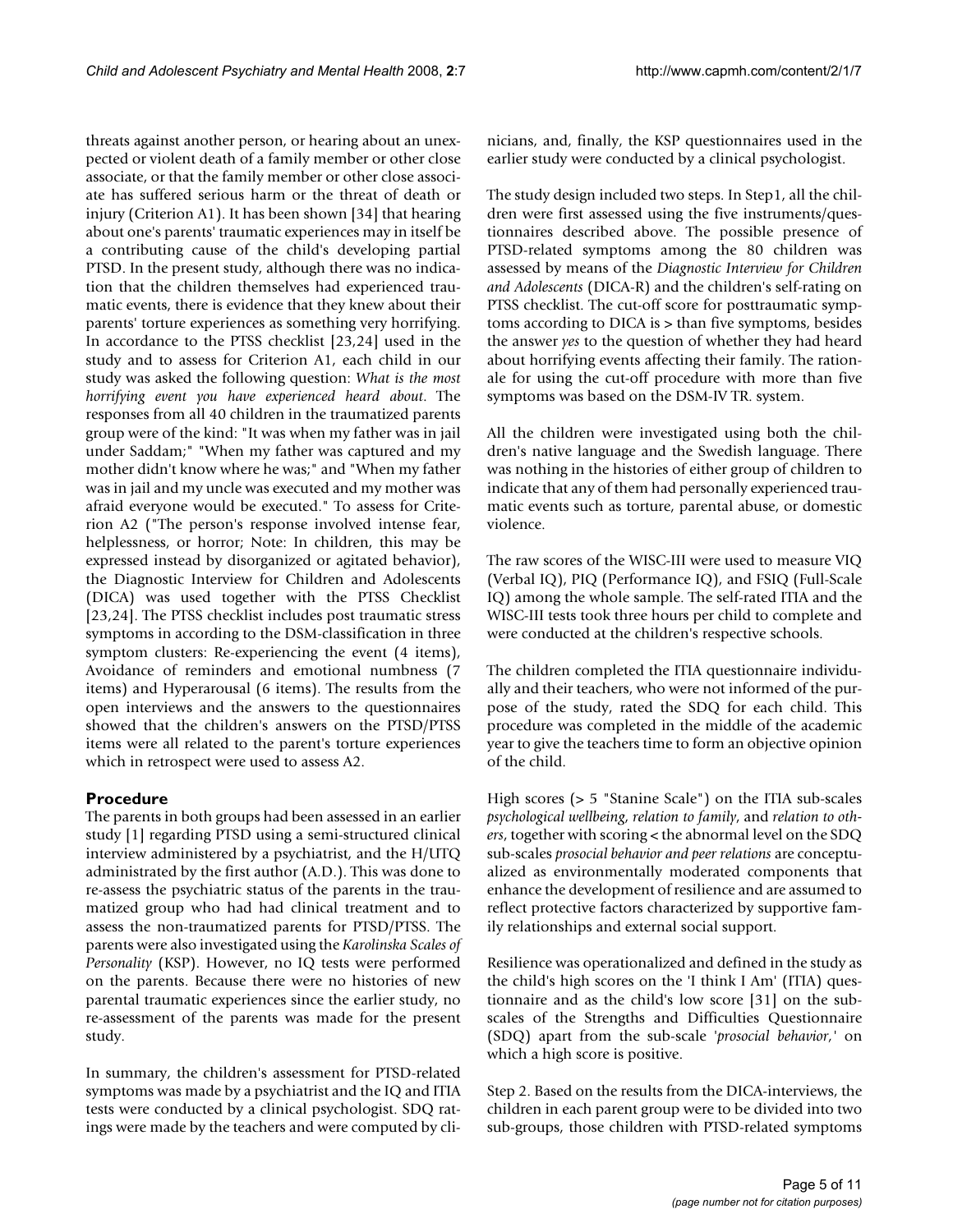threats against another person, or hearing about an unexpected or violent death of a family member or other close associate, or that the family member or other close associate has suffered serious harm or the threat of death or injury (Criterion A1). It has been shown [34] that hearing about one's parents' traumatic experiences may in itself be a contributing cause of the child's developing partial PTSD. In the present study, although there was no indication that the children themselves had experienced traumatic events, there is evidence that they knew about their parents' torture experiences as something very horrifying. In accordance to the PTSS checklist [23,24] used in the study and to assess for Criterion A1, each child in our study was asked the following question: *What is the most horrifying event you have experienced heard about*. The responses from all 40 children in the traumatized parents group were of the kind: "It was when my father was in jail under Saddam;" "When my father was captured and my mother didn't know where he was;" and "When my father was in jail and my uncle was executed and my mother was afraid everyone would be executed." To assess for Criterion A2 ("The person's response involved intense fear, helplessness, or horror; Note: In children, this may be expressed instead by disorganized or agitated behavior), the Diagnostic Interview for Children and Adolescents (DICA) was used together with the PTSS Checklist [23,24]. The PTSS checklist includes post traumatic stress symptoms in according to the DSM-classification in three symptom clusters: Re-experiencing the event (4 items), Avoidance of reminders and emotional numbness (7 items) and Hyperarousal (6 items). The results from the

open interviews and the answers to the questionnaires showed that the children's answers on the PTSD/PTSS items were all related to the parent's torture experiences which in retrospect were used to assess A2.

# **Procedure**

The parents in both groups had been assessed in an earlier study [1] regarding PTSD using a semi-structured clinical interview administered by a psychiatrist, and the H/UTQ administrated by the first author (A.D.). This was done to re-assess the psychiatric status of the parents in the traumatized group who had had clinical treatment and to assess the non-traumatized parents for PTSD/PTSS. The parents were also investigated using the *Karolinska Scales of Personality* (KSP). However, no IQ tests were performed on the parents. Because there were no histories of new parental traumatic experiences since the earlier study, no re-assessment of the parents was made for the present study.

In summary, the children's assessment for PTSD-related symptoms was made by a psychiatrist and the IQ and ITIA tests were conducted by a clinical psychologist. SDQ ratings were made by the teachers and were computed by clinicians, and, finally, the KSP questionnaires used in the earlier study were conducted by a clinical psychologist.

The study design included two steps. In Step1, all the children were first assessed using the five instruments/questionnaires described above. The possible presence of PTSD-related symptoms among the 80 children was assessed by means of the *Diagnostic Interview for Children and Adolescents* (DICA-R) and the children's self-rating on PTSS checklist. The cut-off score for posttraumatic symptoms according to DICA is > than five symptoms, besides the answer *yes* to the question of whether they had heard about horrifying events affecting their family. The rationale for using the cut-off procedure with more than five symptoms was based on the DSM-IV TR. system.

All the children were investigated using both the children's native language and the Swedish language. There was nothing in the histories of either group of children to indicate that any of them had personally experienced traumatic events such as torture, parental abuse, or domestic violence.

The raw scores of the WISC-III were used to measure VIQ (Verbal IQ), PIQ (Performance IQ), and FSIQ (Full-Scale IQ) among the whole sample. The self-rated ITIA and the WISC-III tests took three hours per child to complete and were conducted at the children's respective schools.

The children completed the ITIA questionnaire individually and their teachers, who were not informed of the purpose of the study, rated the SDQ for each child. This procedure was completed in the middle of the academic year to give the teachers time to form an objective opinion of the child.

High scores (> 5 "Stanine Scale") on the ITIA sub-scales *psychological wellbeing*, *relation to family*, and *relation to others*, together with scoring < the abnormal level on the SDQ sub-scales *prosocial behavior and peer relations* are conceptualized as environmentally moderated components that enhance the development of resilience and are assumed to reflect protective factors characterized by supportive family relationships and external social support.

Resilience was operationalized and defined in the study as the child's high scores on the 'I think I Am' (ITIA) questionnaire and as the child's low score [31] on the subscales of the Strengths and Difficulties Questionnaire (SDQ) apart from the sub-scale '*prosocial behavior,'* on which a high score is positive.

Step 2. Based on the results from the DICA-interviews, the children in each parent group were to be divided into two sub-groups, those children with PTSD-related symptoms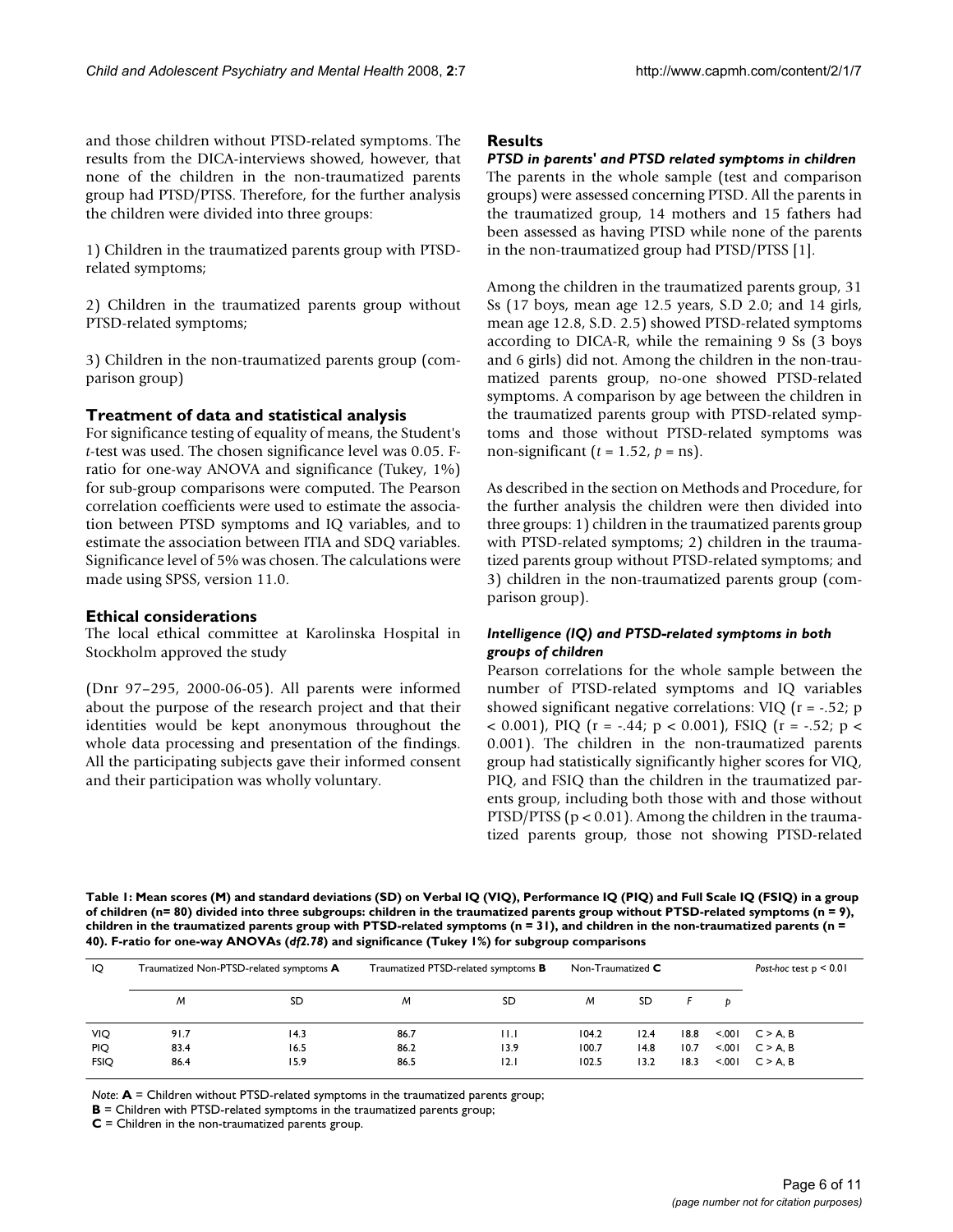and those children without PTSD-related symptoms. The results from the DICA-interviews showed, however, that none of the children in the non-traumatized parents group had PTSD/PTSS. Therefore, for the further analysis the children were divided into three groups:

1) Children in the traumatized parents group with PTSDrelated symptoms;

2) Children in the traumatized parents group without PTSD-related symptoms;

3) Children in the non-traumatized parents group (comparison group)

### **Treatment of data and statistical analysis**

For significance testing of equality of means, the Student's *t*-test was used. The chosen significance level was 0.05. Fratio for one-way ANOVA and significance (Tukey, 1%) for sub-group comparisons were computed. The Pearson correlation coefficients were used to estimate the association between PTSD symptoms and IQ variables, and to estimate the association between ITIA and SDQ variables. Significance level of 5% was chosen. The calculations were made using SPSS, version 11.0.

### **Ethical considerations**

The local ethical committee at Karolinska Hospital in Stockholm approved the study

(Dnr 97–295, 2000-06-05). All parents were informed about the purpose of the research project and that their identities would be kept anonymous throughout the whole data processing and presentation of the findings. All the participating subjects gave their informed consent and their participation was wholly voluntary.

#### **Results**

*PTSD in parents' and PTSD related symptoms in children* The parents in the whole sample (test and comparison groups) were assessed concerning PTSD. All the parents in the traumatized group, 14 mothers and 15 fathers had been assessed as having PTSD while none of the parents in the non-traumatized group had PTSD/PTSS [1].

Among the children in the traumatized parents group, 31 Ss (17 boys, mean age 12.5 years, S.D 2.0; and 14 girls, mean age 12.8, S.D. 2.5) showed PTSD-related symptoms according to DICA-R, while the remaining 9 Ss (3 boys and 6 girls) did not. Among the children in the non-traumatized parents group, no-one showed PTSD-related symptoms. A comparison by age between the children in the traumatized parents group with PTSD-related symptoms and those without PTSD-related symptoms was non-significant ( $t = 1.52$ ,  $p = \text{ns}$ ).

As described in the section on Methods and Procedure, for the further analysis the children were then divided into three groups: 1) children in the traumatized parents group with PTSD-related symptoms; 2) children in the traumatized parents group without PTSD-related symptoms; and 3) children in the non-traumatized parents group (comparison group).

### *Intelligence (IQ) and PTSD-related symptoms in both groups of children*

Pearson correlations for the whole sample between the number of PTSD-related symptoms and IQ variables showed significant negative correlations: VIQ (r = -.52; p  $<$  0.001), PIQ (r = -.44; p  $<$  0.001), FSIQ (r = -.52; p  $<$ 0.001). The children in the non-traumatized parents group had statistically significantly higher scores for VIQ, PIQ, and FSIQ than the children in the traumatized parents group, including both those with and those without PTSD/PTSS ( $p < 0.01$ ). Among the children in the traumatized parents group, those not showing PTSD-related

**Table 1: Mean scores (M) and standard deviations (SD) on Verbal IQ (VIQ), Performance IQ (PIQ) and Full Scale IQ (FSIQ) in a group of children (n= 80) divided into three subgroups: children in the traumatized parents group without PTSD-related symptoms (n = 9), children in the traumatized parents group with PTSD-related symptoms (n = 31), and children in the non-traumatized parents (n = 40). F-ratio for one-way ANOVAs (***df2.78***) and significance (Tukey 1%) for subgroup comparisons**

| IQ                        | Traumatized Non-PTSD-related symptoms A |              | Traumatized PTSD-related symptoms <b>B</b> |              | Non-Traumatized $\mathsf C$ |              |              |                  | Post-hoc test $p < 0.01$   |  |
|---------------------------|-----------------------------------------|--------------|--------------------------------------------|--------------|-----------------------------|--------------|--------------|------------------|----------------------------|--|
|                           | м                                       | SD           | M                                          | SD           | M                           | <b>SD</b>    |              | Ð                |                            |  |
| VIQ                       | 91.7                                    | 14.3         | 86.7                                       | $\mathsf{H}$ | 104.2                       | 12.4         | 18.8         | < 0.01           | $C > A$ . B                |  |
| <b>PIQ</b><br><b>FSIQ</b> | 83.4<br>86.4                            | 16.5<br>15.9 | 86.2<br>86.5                               | 13.9<br> 2.1 | 100.7<br>102.5              | 14.8<br>13.2 | 10.7<br>18.3 | < 0.01<br>< 0.01 | $C > A$ . B<br>$C > A$ . B |  |

*Note*: **A** = Children without PTSD-related symptoms in the traumatized parents group;

**C** = Children in the non-traumatized parents group.

**B** = Children with PTSD-related symptoms in the traumatized parents group;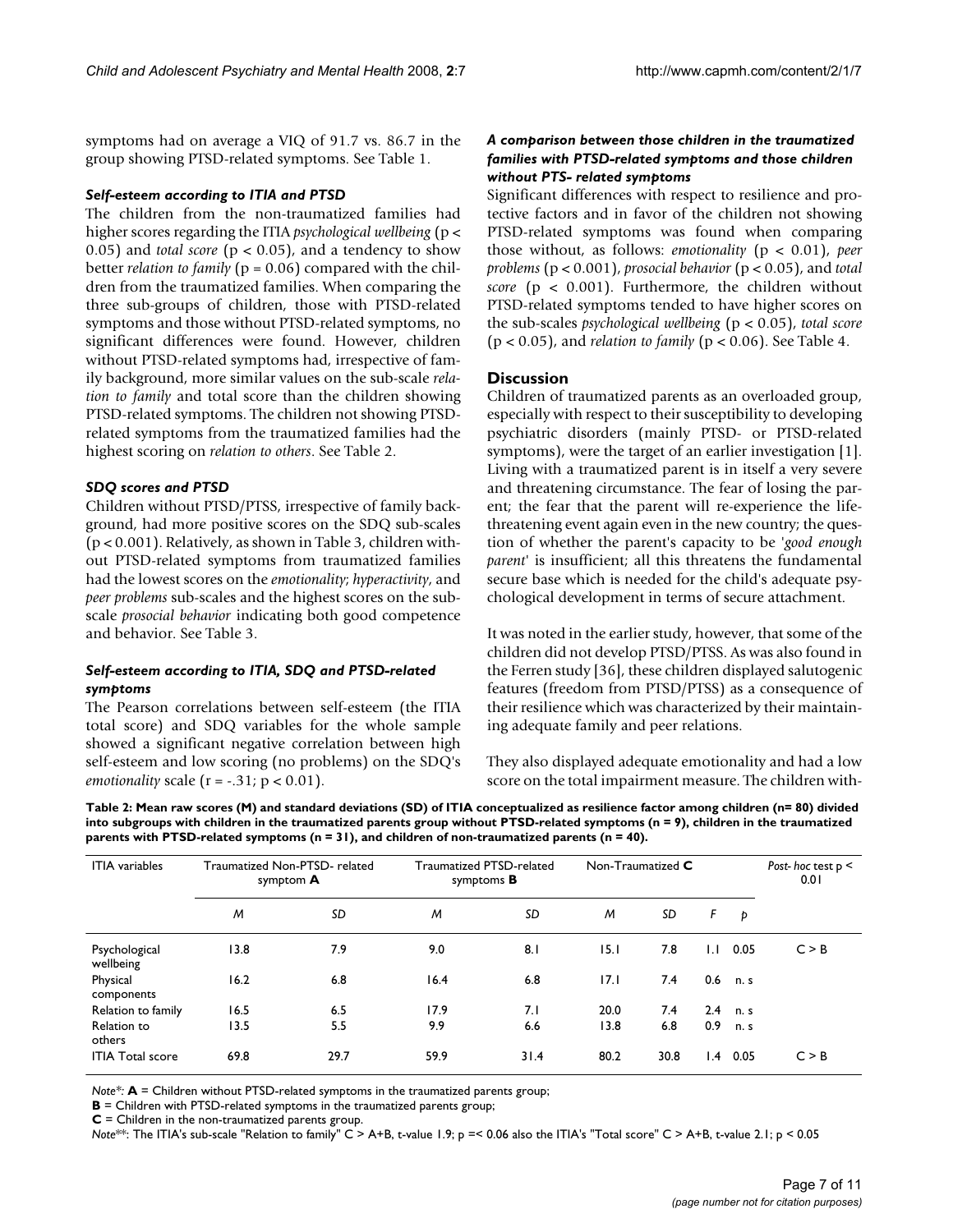symptoms had on average a VIQ of 91.7 vs. 86.7 in the group showing PTSD-related symptoms. See Table 1.

#### *Self-esteem according to ITIA and PTSD*

The children from the non-traumatized families had higher scores regarding the ITIA *psychological wellbeing* (p < 0.05) and *total score* ( $p < 0.05$ ), and a tendency to show better *relation to family* (p = 0.06) compared with the children from the traumatized families. When comparing the three sub-groups of children, those with PTSD-related symptoms and those without PTSD-related symptoms, no significant differences were found. However, children without PTSD-related symptoms had, irrespective of family background, more similar values on the sub-scale *relation to family* and total score than the children showing PTSD-related symptoms. The children not showing PTSDrelated symptoms from the traumatized families had the highest scoring on *relation to others*. See Table 2.

#### *SDQ scores and PTSD*

Children without PTSD/PTSS, irrespective of family background, had more positive scores on the SDQ sub-scales (p < 0.001). Relatively, as shown in Table 3, children without PTSD-related symptoms from traumatized families had the lowest scores on the *emotionality*; *hyperactivity*, and *peer problems* sub-scales and the highest scores on the subscale *prosocial behavior* indicating both good competence and behavior. See Table 3.

#### *Self-esteem according to ITIA, SDQ and PTSD-related symptoms*

The Pearson correlations between self-esteem (the ITIA total score) and SDQ variables for the whole sample showed a significant negative correlation between high self-esteem and low scoring (no problems) on the SDQ's *emotionality* scale  $(r = -.31; p < 0.01)$ .

### *A comparison between those children in the traumatized families with PTSD-related symptoms and those children without PTS- related symptoms*

Significant differences with respect to resilience and protective factors and in favor of the children not showing PTSD-related symptoms was found when comparing those without, as follows: *emotionality* (p < 0.01), *peer problems* (p < 0.001), *prosocial behavior* (p < 0.05), and *total score* ( $p < 0.001$ ). Furthermore, the children without PTSD-related symptoms tended to have higher scores on the sub-scales *psychological wellbeing* (p < 0.05), *total score* (p < 0.05), and *relation to family* (p < 0.06). See Table 4.

#### **Discussion**

Children of traumatized parents as an overloaded group, especially with respect to their susceptibility to developing psychiatric disorders (mainly PTSD- or PTSD-related symptoms), were the target of an earlier investigation [1]. Living with a traumatized parent is in itself a very severe and threatening circumstance. The fear of losing the parent; the fear that the parent will re-experience the lifethreatening event again even in the new country; the question of whether the parent's capacity to be '*good enough parent*' is insufficient; all this threatens the fundamental secure base which is needed for the child's adequate psychological development in terms of secure attachment.

It was noted in the earlier study, however, that some of the children did not develop PTSD/PTSS. As was also found in the Ferren study [36], these children displayed salutogenic features (freedom from PTSD/PTSS) as a consequence of their resilience which was characterized by their maintaining adequate family and peer relations.

They also displayed adequate emotionality and had a low score on the total impairment measure. The children with-

**Table 2: Mean raw scores (M) and standard deviations (SD) of ITIA conceptualized as resilience factor among children (n= 80) divided into subgroups with children in the traumatized parents group without PTSD-related symptoms (n = 9), children in the traumatized parents with PTSD-related symptoms (n = 31), and children of non-traumatized parents (n = 40).**

| <b>ITIA</b> variables      | Traumatized Non-PTSD-related<br>symptom A |      | Traumatized PTSD-related<br>symptoms <b>B</b> |      | Non-Traumatized C |      |                 |      | Post-hoc test $p <$<br>0.01 |  |
|----------------------------|-------------------------------------------|------|-----------------------------------------------|------|-------------------|------|-----------------|------|-----------------------------|--|
|                            | M                                         | SD   | M                                             | SD   | M                 | SD   | F               | Þ    |                             |  |
| Psychological<br>wellbeing | 13.8                                      | 7.9  | 9.0                                           | 8.1  | 15.1              | 7.8  | 1.1             | 0.05 | C > B                       |  |
| Physical<br>components     | 16.2                                      | 6.8  | 16.4                                          | 6.8  | 17.1              | 7.4  | 0.6             | n. s |                             |  |
| Relation to family         | 16.5                                      | 6.5  | 17.9                                          | 7.1  | 20.0              | 7.4  | 2.4             | n. s |                             |  |
| Relation to<br>others      | 13.5                                      | 5.5  | 9.9                                           | 6.6  | 13.8              | 6.8  | 0.9             | n.s  |                             |  |
| <b>ITIA Total score</b>    | 69.8                                      | 29.7 | 59.9                                          | 31.4 | 80.2              | 30.8 | $\mathsf{I}$ .4 | 0.05 | C > B                       |  |

*Note\*:* **A** = Children without PTSD-related symptoms in the traumatized parents group;

**B** = Children with PTSD-related symptoms in the traumatized parents group;

**C** = Children in the non-traumatized parents group.

*Note*<sup>\*\*:</sup> The ITIA's sub-scale "Relation to family" C > A+B, t-value 1.9; p =< 0.06 also the ITIA's "Total score" C > A+B, t-value 2.1; p < 0.05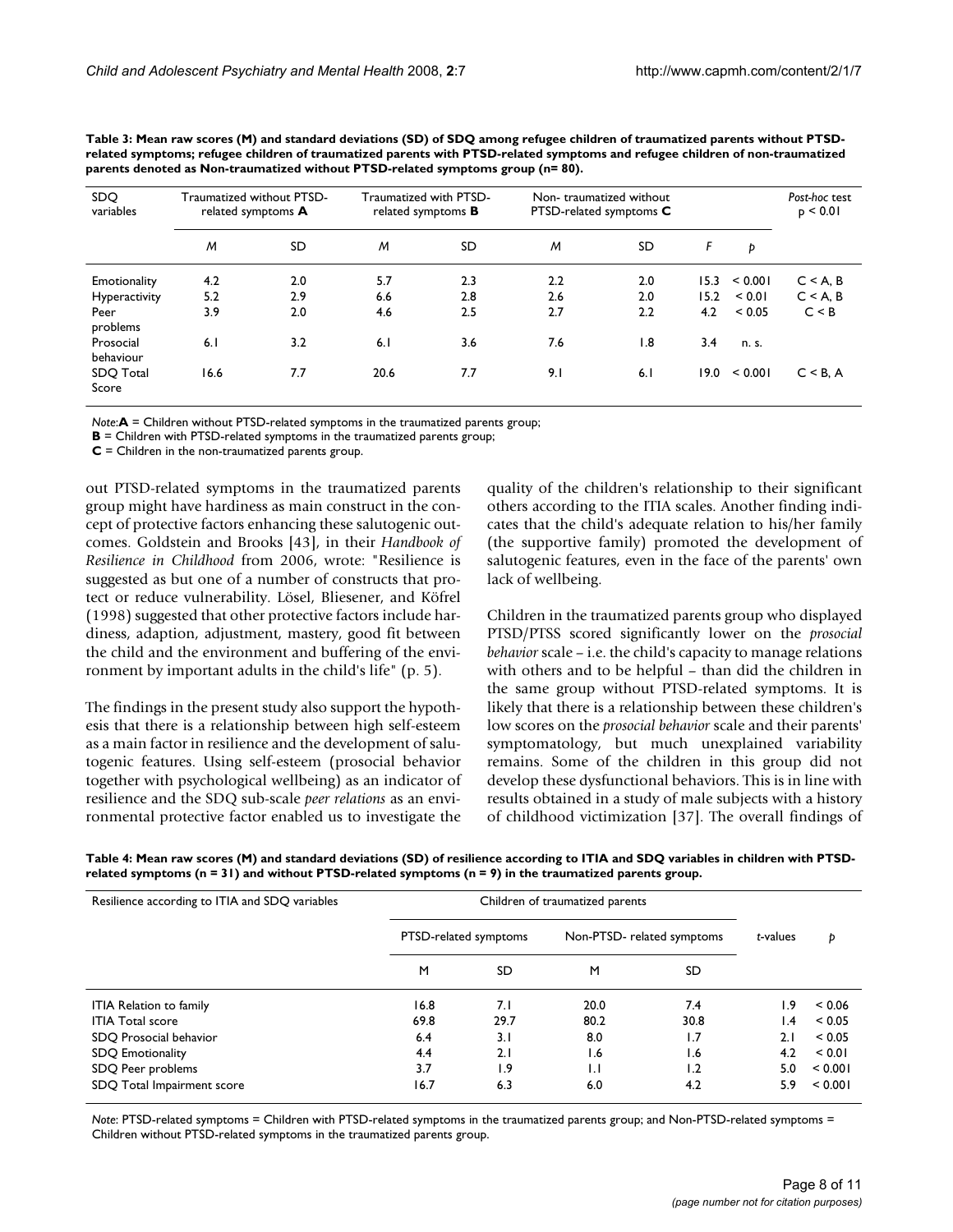| SDO.<br>variables      | Traumatized without PTSD-<br>related symptoms A |     | Traumatized with PTSD-<br>related symptoms <b>B</b> |     | Non-traumatized without<br>PTSD-related symptoms C |                  |      | Post-hoc test<br>p < 0.01 |             |
|------------------------|-------------------------------------------------|-----|-----------------------------------------------------|-----|----------------------------------------------------|------------------|------|---------------------------|-------------|
|                        | M                                               | SD. | M                                                   | SD  | M                                                  | SD               | F    | Þ                         |             |
| Emotionality           | 4.2                                             | 2.0 | 5.7                                                 | 2.3 | 2.2                                                | 2.0              | 15.3 | < 0.001                   | $C < A$ , B |
| Hyperactivity          | 5.2                                             | 2.9 | 6.6                                                 | 2.8 | 2.6                                                | 2.0              | 15.2 | < 0.01                    | $C < A$ , B |
| Peer<br>problems       | 3.9                                             | 2.0 | 4.6                                                 | 2.5 | 2.7                                                | 2.2              | 4.2  | ${}_{0.05}$               | C < B       |
| Prosocial<br>behaviour | 6.1                                             | 3.2 | 6.1                                                 | 3.6 | 7.6                                                | $\overline{1.8}$ | 3.4  | n. s.                     |             |
| SDQ Total<br>Score     | 16.6                                            | 7.7 | 20.6                                                | 7.7 | 9.1                                                | 6.1              | 19.0 | < 0.001                   | $C < B$ , A |

**Table 3: Mean raw scores (M) and standard deviations (SD) of SDQ among refugee children of traumatized parents without PTSDrelated symptoms; refugee children of traumatized parents with PTSD-related symptoms and refugee children of non-traumatized parents denoted as Non-traumatized without PTSD-related symptoms group (n= 80).**

*Note*:**A** = Children without PTSD-related symptoms in the traumatized parents group;

**B** = Children with PTSD-related symptoms in the traumatized parents group;

**C** = Children in the non-traumatized parents group.

out PTSD-related symptoms in the traumatized parents group might have hardiness as main construct in the concept of protective factors enhancing these salutogenic outcomes. Goldstein and Brooks [43], in their *Handbook of Resilience in Childhood* from 2006, wrote: "Resilience is suggested as but one of a number of constructs that protect or reduce vulnerability. Lösel, Bliesener, and Köfrel (1998) suggested that other protective factors include hardiness, adaption, adjustment, mastery, good fit between the child and the environment and buffering of the environment by important adults in the child's life" (p. 5).

The findings in the present study also support the hypothesis that there is a relationship between high self-esteem as a main factor in resilience and the development of salutogenic features. Using self-esteem (prosocial behavior together with psychological wellbeing) as an indicator of resilience and the SDQ sub-scale *peer relations* as an environmental protective factor enabled us to investigate the quality of the children's relationship to their significant others according to the ITIA scales. Another finding indicates that the child's adequate relation to his/her family (the supportive family) promoted the development of salutogenic features, even in the face of the parents' own lack of wellbeing.

Children in the traumatized parents group who displayed PTSD/PTSS scored significantly lower on the *prosocial behavior* scale – i.e. the child's capacity to manage relations with others and to be helpful – than did the children in the same group without PTSD-related symptoms. It is likely that there is a relationship between these children's low scores on the *prosocial behavior* scale and their parents' symptomatology, but much unexplained variability remains. Some of the children in this group did not develop these dysfunctional behaviors. This is in line with results obtained in a study of male subjects with a history of childhood victimization [37]. The overall findings of

**Table 4: Mean raw scores (M) and standard deviations (SD) of resilience according to ITIA and SDQ variables in children with PTSDrelated symptoms (n = 31) and without PTSD-related symptoms (n = 9) in the traumatized parents group.**

| Resilience according to ITIA and SDQ variables |                       |      |                            |      |          |         |
|------------------------------------------------|-----------------------|------|----------------------------|------|----------|---------|
|                                                | PTSD-related symptoms |      | Non-PTSD- related symptoms |      | t-values | Þ       |
|                                                | M                     | SD   | M                          | SD   |          |         |
| <b>ITIA Relation to family</b>                 | 16.8                  | 7.1  | 20.0                       | 7.4  | و. ا     | < 0.06  |
| <b>ITIA Total score</b>                        | 69.8                  | 29.7 | 80.2                       | 30.8 | l.4      | < 0.05  |
| SDO Prosocial behavior                         | 6.4                   | 3.1  | 8.0                        | 1.7  | 2.1      | < 0.05  |
| <b>SDQ Emotionality</b>                        | 4.4                   | 2.1  | 1.6                        | 1.6  | 4.2      | < 0.01  |
| SDQ Peer problems                              | 3.7                   | 1.9  | $\mathsf{L}$               | 1.2  | 5.0      | < 0.001 |
| SDQ Total Impairment score                     | 16.7                  | 6.3  | 6.0                        | 4.2  | 5.9      | < 0.001 |

*Note*: PTSD-related symptoms = Children with PTSD-related symptoms in the traumatized parents group; and Non-PTSD-related symptoms = Children without PTSD-related symptoms in the traumatized parents group.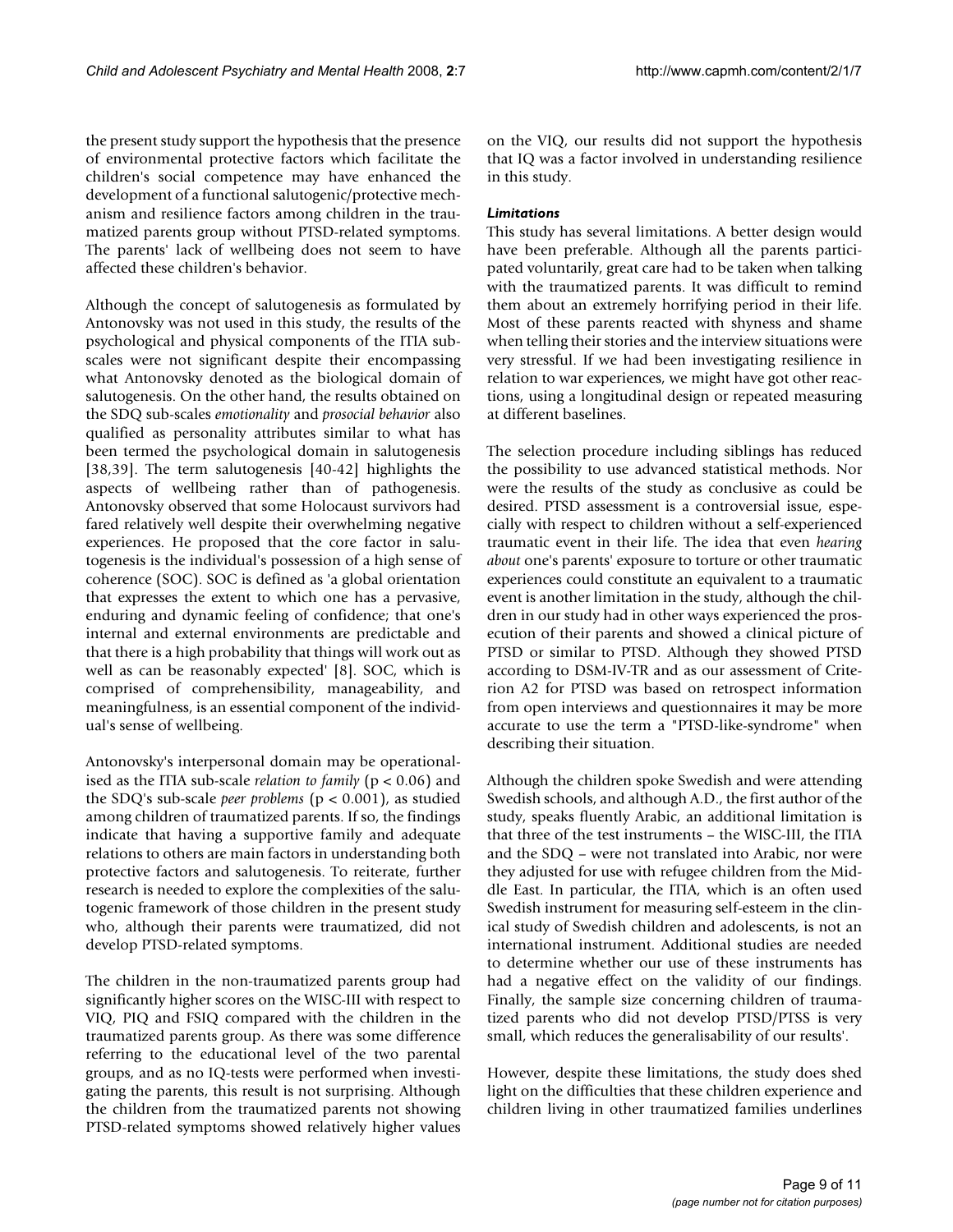the present study support the hypothesis that the presence of environmental protective factors which facilitate the children's social competence may have enhanced the development of a functional salutogenic/protective mechanism and resilience factors among children in the traumatized parents group without PTSD-related symptoms. The parents' lack of wellbeing does not seem to have affected these children's behavior.

Although the concept of salutogenesis as formulated by Antonovsky was not used in this study, the results of the psychological and physical components of the ITIA subscales were not significant despite their encompassing what Antonovsky denoted as the biological domain of salutogenesis. On the other hand, the results obtained on the SDQ sub-scales *emotionality* and *prosocial behavior* also qualified as personality attributes similar to what has been termed the psychological domain in salutogenesis [38,39]. The term salutogenesis [40-42] highlights the aspects of wellbeing rather than of pathogenesis. Antonovsky observed that some Holocaust survivors had fared relatively well despite their overwhelming negative experiences. He proposed that the core factor in salutogenesis is the individual's possession of a high sense of coherence (SOC). SOC is defined as 'a global orientation that expresses the extent to which one has a pervasive, enduring and dynamic feeling of confidence; that one's internal and external environments are predictable and that there is a high probability that things will work out as well as can be reasonably expected' [8]. SOC, which is comprised of comprehensibility, manageability, and meaningfulness, is an essential component of the individual's sense of wellbeing.

Antonovsky's interpersonal domain may be operationalised as the ITIA sub-scale *relation to family* (p < 0.06) and the SDQ's sub-scale *peer problems* (p < 0.001), as studied among children of traumatized parents. If so, the findings indicate that having a supportive family and adequate relations to others are main factors in understanding both protective factors and salutogenesis. To reiterate, further research is needed to explore the complexities of the salutogenic framework of those children in the present study who, although their parents were traumatized, did not develop PTSD-related symptoms.

The children in the non-traumatized parents group had significantly higher scores on the WISC-III with respect to VIQ, PIQ and FSIQ compared with the children in the traumatized parents group. As there was some difference referring to the educational level of the two parental groups, and as no IQ-tests were performed when investigating the parents, this result is not surprising. Although the children from the traumatized parents not showing PTSD-related symptoms showed relatively higher values

on the VIQ, our results did not support the hypothesis that IQ was a factor involved in understanding resilience in this study.

# *Limitations*

This study has several limitations. A better design would have been preferable. Although all the parents participated voluntarily, great care had to be taken when talking with the traumatized parents. It was difficult to remind them about an extremely horrifying period in their life. Most of these parents reacted with shyness and shame when telling their stories and the interview situations were very stressful. If we had been investigating resilience in relation to war experiences, we might have got other reactions, using a longitudinal design or repeated measuring at different baselines.

The selection procedure including siblings has reduced the possibility to use advanced statistical methods. Nor were the results of the study as conclusive as could be desired. PTSD assessment is a controversial issue, especially with respect to children without a self-experienced traumatic event in their life. The idea that even *hearing about* one's parents' exposure to torture or other traumatic experiences could constitute an equivalent to a traumatic event is another limitation in the study, although the children in our study had in other ways experienced the prosecution of their parents and showed a clinical picture of PTSD or similar to PTSD. Although they showed PTSD according to DSM-IV-TR and as our assessment of Criterion A2 for PTSD was based on retrospect information from open interviews and questionnaires it may be more accurate to use the term a "PTSD-like-syndrome" when describing their situation.

Although the children spoke Swedish and were attending Swedish schools, and although A.D., the first author of the study, speaks fluently Arabic, an additional limitation is that three of the test instruments – the WISC-III, the ITIA and the SDQ – were not translated into Arabic, nor were they adjusted for use with refugee children from the Middle East. In particular, the ITIA, which is an often used Swedish instrument for measuring self-esteem in the clinical study of Swedish children and adolescents, is not an international instrument. Additional studies are needed to determine whether our use of these instruments has had a negative effect on the validity of our findings. Finally, the sample size concerning children of traumatized parents who did not develop PTSD/PTSS is very small, which reduces the generalisability of our results'.

However, despite these limitations, the study does shed light on the difficulties that these children experience and children living in other traumatized families underlines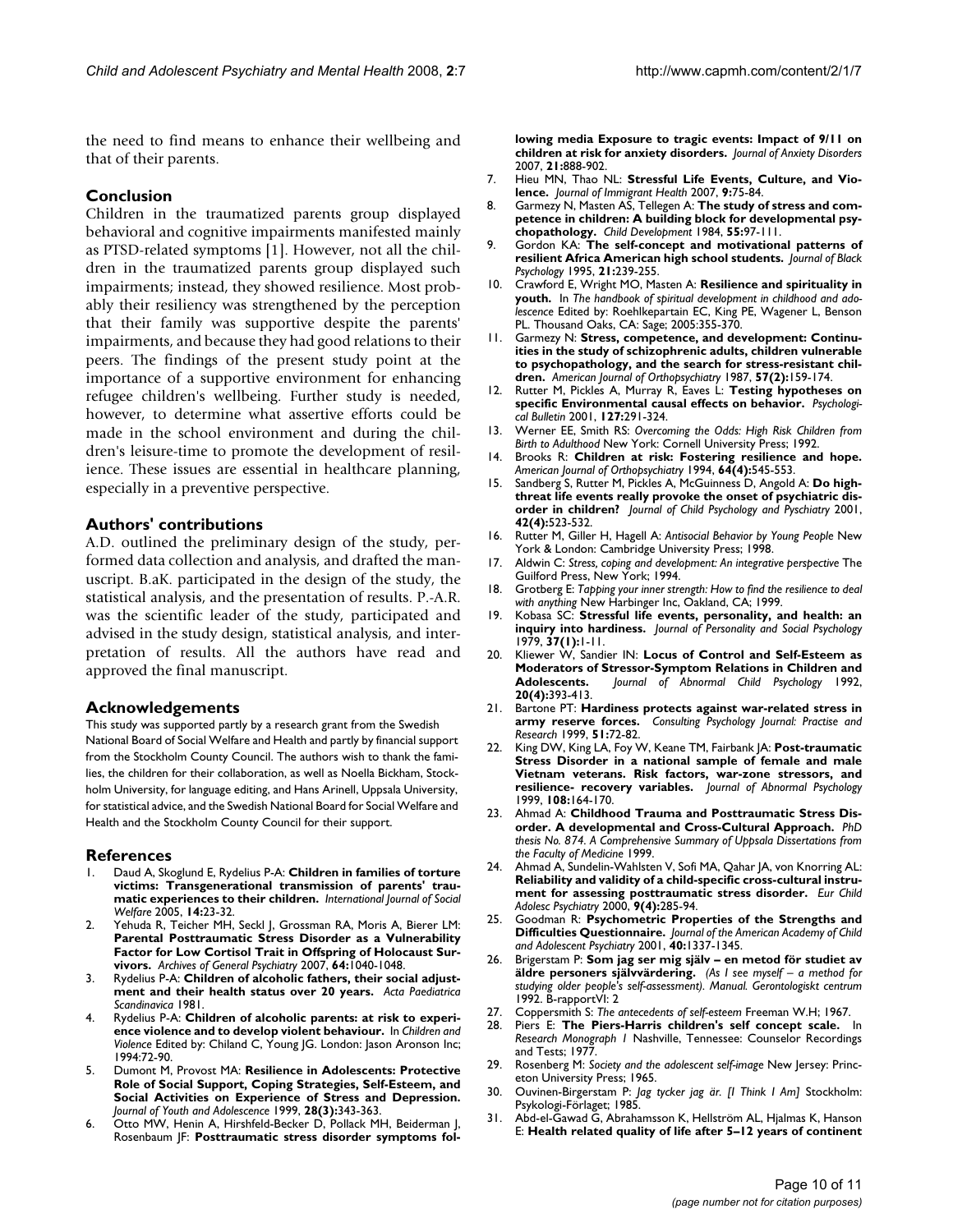the need to find means to enhance their wellbeing and that of their parents.

#### **Conclusion**

Children in the traumatized parents group displayed behavioral and cognitive impairments manifested mainly as PTSD-related symptoms [1]. However, not all the children in the traumatized parents group displayed such impairments; instead, they showed resilience. Most probably their resiliency was strengthened by the perception that their family was supportive despite the parents' impairments, and because they had good relations to their peers. The findings of the present study point at the importance of a supportive environment for enhancing refugee children's wellbeing. Further study is needed, however, to determine what assertive efforts could be made in the school environment and during the children's leisure-time to promote the development of resilience. These issues are essential in healthcare planning, especially in a preventive perspective.

#### **Authors' contributions**

A.D. outlined the preliminary design of the study, performed data collection and analysis, and drafted the manuscript. B.aK. participated in the design of the study, the statistical analysis, and the presentation of results. P.-A.R. was the scientific leader of the study, participated and advised in the study design, statistical analysis, and interpretation of results. All the authors have read and approved the final manuscript.

#### **Acknowledgements**

This study was supported partly by a research grant from the Swedish National Board of Social Welfare and Health and partly by financial support from the Stockholm County Council. The authors wish to thank the families, the children for their collaboration, as well as Noella Bickham, Stockholm University, for language editing, and Hans Arinell, Uppsala University, for statistical advice, and the Swedish National Board for Social Welfare and Health and the Stockholm County Council for their support.

#### **References**

- 1. Daud A, Skoglund E, Rydelius P-A: **Children in families of torture victims: Transgenerational transmission of parents' traumatic experiences to their children.** *International Journal of Social Welfare* 2005, **14:**23-32.
- 2. Yehuda R, Teicher MH, Seckl J, Grossman RA, Moris A, Bierer LM: **Parental Posttraumatic Stress Disorder as a Vulnerability [Factor for Low Cortisol Trait in Offspring of Holocaust Sur](http://www.ncbi.nlm.nih.gov/entrez/query.fcgi?cmd=Retrieve&db=PubMed&dopt=Abstract&list_uids=17768269)[vivors.](http://www.ncbi.nlm.nih.gov/entrez/query.fcgi?cmd=Retrieve&db=PubMed&dopt=Abstract&list_uids=17768269)** *Archives of General Psychiatry* 2007, **64:**1040-1048.
- 3. Rydelius P-A: **Children of alcoholic fathers, their social adjustment and their health status over 20 years.** *Acta Paediatrica Scandinavica* 1981.
- Rydelius P-A: Children of alcoholic parents: at risk to experi**ence violence and to develop violent behaviour.** In *Children and Violence* Edited by: Chiland C, Young JG. London: Jason Aronson Inc; 1994:72-90.
- 5. Dumont M, Provost MA: **Resilience in Adolescents: Protective Role of Social Support, Coping Strategies, Self-Esteem, and Social Activities on Experience of Stress and Depression.** *Journal of Youth and Adolescence* 1999, **28(3):**343-363.
- 6. Otto MW, Henin A, Hirshfeld-Becker D, Pollack MH, Beiderman J, Rosenbaum JF: **[Posttraumatic stress disorder symptoms fol-](http://www.ncbi.nlm.nih.gov/entrez/query.fcgi?cmd=Retrieve&db=PubMed&dopt=Abstract&list_uids=17276653)**

**[lowing media Exposure to tragic events: Impact of 9/11 on](http://www.ncbi.nlm.nih.gov/entrez/query.fcgi?cmd=Retrieve&db=PubMed&dopt=Abstract&list_uids=17276653) [children at risk for anxiety disorders.](http://www.ncbi.nlm.nih.gov/entrez/query.fcgi?cmd=Retrieve&db=PubMed&dopt=Abstract&list_uids=17276653)** *Journal of Anxiety Disorders* 2007, **21:**888-902.

- 7. Hieu MN, Thao NL: **Stressful Life Events, Culture, and Violence.** *Journal of Immigrant Health* 2007, **9:**75-84.
- 8. Garmezy N, Masten AS, Tellegen A: **[The study of stress and com](http://www.ncbi.nlm.nih.gov/entrez/query.fcgi?cmd=Retrieve&db=PubMed&dopt=Abstract&list_uids=6705637)[petence in children: A building block for developmental psy](http://www.ncbi.nlm.nih.gov/entrez/query.fcgi?cmd=Retrieve&db=PubMed&dopt=Abstract&list_uids=6705637)[chopathology.](http://www.ncbi.nlm.nih.gov/entrez/query.fcgi?cmd=Retrieve&db=PubMed&dopt=Abstract&list_uids=6705637)** *Child Development* 1984, **55:**97-111.
- 9. Gordon KA: **The self-concept and motivational patterns of resilient Africa American high school students.** *Journal of Black Psychology* 1995, **21:**239-255.
- 10. Crawford E, Wright MO, Masten A: **Resilience and spirituality in youth.** In *The handbook of spiritual development in childhood and adolescence* Edited by: Roehlkepartain EC, King PE, Wagener L, Benson PL. Thousand Oaks, CA: Sage; 2005:355-370.
- 11. Garmezy N: **[Stress, competence, and development: Continu](http://www.ncbi.nlm.nih.gov/entrez/query.fcgi?cmd=Retrieve&db=PubMed&dopt=Abstract&list_uids=3296774)ities in the study of schizophrenic adults, children vulnerable [to psychopathology, and the search for stress-resistant chil](http://www.ncbi.nlm.nih.gov/entrez/query.fcgi?cmd=Retrieve&db=PubMed&dopt=Abstract&list_uids=3296774)[dren.](http://www.ncbi.nlm.nih.gov/entrez/query.fcgi?cmd=Retrieve&db=PubMed&dopt=Abstract&list_uids=3296774)** *American Journal of Orthopsychiatry* 1987, **57(2):**159-174.
- 12. Rutter M, Pickles A, Murray R, Eaves L: **[Testing hypotheses on](http://www.ncbi.nlm.nih.gov/entrez/query.fcgi?cmd=Retrieve&db=PubMed&dopt=Abstract&list_uids=11393298) [specific Environmental causal effects on behavior.](http://www.ncbi.nlm.nih.gov/entrez/query.fcgi?cmd=Retrieve&db=PubMed&dopt=Abstract&list_uids=11393298)** *Psychological Bulletin* 2001, **127:**291-324.
- 13. Werner EE, Smith RS: *Overcoming the Odds: High Risk Children from Birth to Adulthood* New York: Cornell University Press; 1992.
- 14. Brooks R: **[Children at risk: Fostering resilience and hope.](http://www.ncbi.nlm.nih.gov/entrez/query.fcgi?cmd=Retrieve&db=PubMed&dopt=Abstract&list_uids=7847570)** *American Journal of Orthopsychiatry* 1994, **64(4):**545-553.
- 15. Sandberg S, Rutter M, Pickles A, McGuinness D, Angold A: **Do highthreat life events really provoke the onset of psychiatric disorder in children?** *Journal of Child Psychology and Pyschiatry* 2001, **42(4):**523-532.
- 16. Rutter M, Giller H, Hagell A: *Antisocial Behavior by Young People* New York & London: Cambridge University Press; 1998.
- 17. Aldwin C: *Stress, coping and development: An integrative perspective* The Guilford Press, New York; 1994.
- 18. Grotberg E: *Tapping your inner strength: How to find the resilience to deal with anything* New Harbinger Inc, Oakland, CA; 1999.
- 19. Kobasa SC: **Stressful life events, personality, and health: an inquiry into hardiness.** *Journal of Personality and Social Psychology* 1979, **37(1):**1-11.
- 20. Kliewer W, Sandier IN: **[Locus of Control and Self-Esteem as](http://www.ncbi.nlm.nih.gov/entrez/query.fcgi?cmd=Retrieve&db=PubMed&dopt=Abstract&list_uids=1527280) [Moderators of Stressor-Symptom Relations in Children and](http://www.ncbi.nlm.nih.gov/entrez/query.fcgi?cmd=Retrieve&db=PubMed&dopt=Abstract&list_uids=1527280) Adolescents.** Journal of Abnormal Child Psychology 1992, **[Adolescents.](http://www.ncbi.nlm.nih.gov/entrez/query.fcgi?cmd=Retrieve&db=PubMed&dopt=Abstract&list_uids=1527280)** *Journal of Abnormal Child Psychology* 1992, **20(4):**393-413.
- 21. Bartone PT: **Hardiness protects against war-related stress in army reserve forces.** *Consulting Psychology Journal: Practise and Research* 1999, **51:**72-82.
- 22. King DW, King LA, Foy W, Keane TM, Fairbank JA: **[Post-traumatic](http://www.ncbi.nlm.nih.gov/entrez/query.fcgi?cmd=Retrieve&db=PubMed&dopt=Abstract&list_uids=10067002) Stress Disorder in a national sample of female and male [Vietnam veterans. Risk factors, war-zone stressors, and](http://www.ncbi.nlm.nih.gov/entrez/query.fcgi?cmd=Retrieve&db=PubMed&dopt=Abstract&list_uids=10067002) [resilience- recovery variables.](http://www.ncbi.nlm.nih.gov/entrez/query.fcgi?cmd=Retrieve&db=PubMed&dopt=Abstract&list_uids=10067002)** *Journal of Abnormal Psychology* 1999, **108:**164-170.
- 23. Ahmad A: **Childhood Trauma and Posttraumatic Stress Disorder. A developmental and Cross-Cultural Approach.** *PhD thesis No. 874. A Comprehensive Summary of Uppsala Dissertations from the Faculty of Medicine* 1999.
- 24. Ahmad A, Sundelin-Wahlsten V, Sofi MA, Qahar JA, von Knorring AL: **[Reliability and validity of a child-specific cross-cultural instru](http://www.ncbi.nlm.nih.gov/entrez/query.fcgi?cmd=Retrieve&db=PubMed&dopt=Abstract&list_uids=11202104)[ment for assessing posttraumatic stress disorder.](http://www.ncbi.nlm.nih.gov/entrez/query.fcgi?cmd=Retrieve&db=PubMed&dopt=Abstract&list_uids=11202104)** *Eur Child Adolesc Psychiatry* 2000, **9(4):**285-94.
- 25. Goodman R: **Psychometric Properties of the Strengths and Difficulties Questionnaire.** *Journal of the American Academy of Child and Adolescent Psychiatry* 2001, **40:**1337-1345.
- 26. Brigerstam P: **Som jag ser mig själv en metod för studiet av äldre personers självvärdering.** *(As I see myself – a method for studying older people's self-assessment). Manual. Gerontologiskt centrum* 1992. B-rapportVI: 2
- 27. Coppersmith S: *The antecedents of self-esteem* Freeman W.H; 1967.
- Piers E: The Piers-Harris children's self concept scale. In *Research Monograph 1* Nashville, Tennessee: Counselor Recordings and Tests; 1977.
- 29. Rosenberg M: *Society and the adolescent self-image* New Jersey: Princeton University Press; 1965.
- 30. Ouvinen-Birgerstam P: *Jag tycker jag är. [I Think I Am]* Stockholm: Psykologi-Förlaget; 1985.
- 31. Abd-el-Gawad G, Abrahamsson K, Hellström AL, Hjalmas K, Hanson E: **Health related quality of life after 5–12 years of continent**